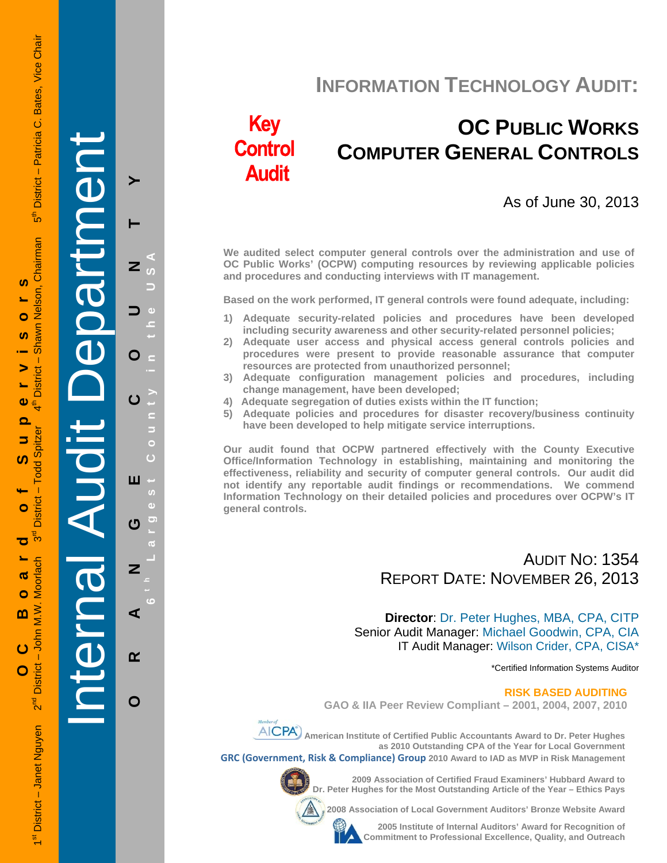**INFORMATION TECHNOLOGY AUDIT:**

# **Key Control Audit**

# **OC PUBLIC WORKS COMPUTER GENERAL CONTROLS**

## As of June 30, 2013

**We audited select computer general controls over the administration and use of OC Public Works' (OCPW) computing resources by reviewing applicable policies and procedures and conducting interviews with IT management.** 

**Based on the work performed, IT general controls were found adequate, including:** 

- **1) Adequate security-related policies and procedures have been developed including security awareness and other security-related personnel policies;**
- **2) Adequate user access and physical access general controls policies and procedures were present to provide reasonable assurance that computer resources are protected from unauthorized personnel;**
- **3) Adequate configuration management policies and procedures, including change management, have been developed;**
- **4) Adequate segregation of duties exists within the IT function;**
- **5) Adequate policies and procedures for disaster recovery/business continuity have been developed to help mitigate service interruptions.**

**Our audit found that OCPW partnered effectively with the County Executive Office/Information Technology in establishing, maintaining and monitoring the effectiveness, reliability and security of computer general controls. Our audit did not identify any reportable audit findings or recommendations. We commend Information Technology on their detailed policies and procedures over OCPW's IT general controls.** 

## AUDIT NO: 1354 REPORT DATE: NOVEMBER 26, 2013

**Director**: Dr. Peter Hughes, MBA, CPA, CITP Senior Audit Manager: Michael Goodwin, CPA, CIA IT Audit Manager: Wilson Crider, CPA, CISA\*

\*Certified Information Systems Auditor

#### **RISK BASED AUDITING**

**GAO & IIA Peer Review Compliant – 2001, 2004, 2007, 2010** 



**AICPA**) American Institute of Certified Public Accountants Award to Dr. Peter Hughes **as 2010 Outstanding CPA of the Year for Local Government GRC (Government, Risk & Compliance) Group 2010 Award to IAD as MVP in Risk Management** 



**2009 Association of Certified Fraud Examiners' Hubbard Award to Dr. Peter Hughes for the Most Outstanding Article of the Year – Ethics Pays** 

**2008 Association of Local Government Auditors' Bronze Website Award** 

**2005 Institute of Internal Auditors' Award for Recognition of Commitment to Professional Excellence, Quality, and Outreach**

1st District – Janet Nguyen 2<sup>nd</sup> District – John M.W. Moorlach 3<sup>rd</sup> District – Todd Spitzer 4th District – Shawn Nelson, Chairman 5th District – Patricia C. Bates, Vice Chair Bates, Vice Chair 5<sup>th</sup> District - Patricia C. awn Nelson, Chairman **OC Board of Supervisors**   $\boldsymbol{\omega}$ Ó <u>ທ</u> အ -1 > **District**  $\bullet$  $\overline{\mathbf{o}}$ **Todd Spitzer**  $\Rightarrow$ ທ J, **District**  $\bullet$ შ<br>გ ಕ Moorlach ൹ Ó  $2<sup>nd</sup>$  District – John M.W. m  $\overline{c}$  $\mathbf O$ District - Janet Nguyen

Internal Audit Department

**ORANGE COUNTY 6 t h Lar**

ш

ෆ

Z

⋖

 $\alpha$ 

O

**g**

**est Count**

**y in the USA** 

≻

Z

O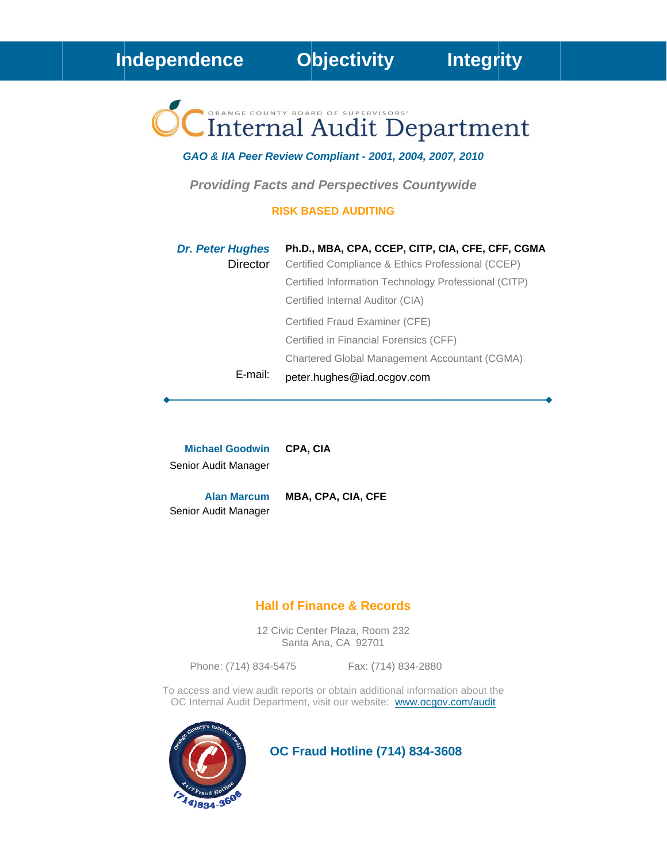Independence

**Objectivity** 

# Internal Audit Department

GAO & IIA Peer Review Compliant - 2001, 2004, 2007, 2010

**Providing Facts and Perspectives Countywide** 

#### **RISK BASED AUDITING**

| <b>Dr. Peter Hughes</b> | Ph.D., MBA, CPA, CCEP, CITP, CIA, CFE, CFF, CGMA     |
|-------------------------|------------------------------------------------------|
| Director                | Certified Compliance & Ethics Professional (CCEP)    |
|                         | Certified Information Technology Professional (CITP) |
|                         | Certified Internal Auditor (CIA)                     |
|                         | Certified Fraud Examiner (CFE)                       |
|                         | Certified in Financial Forensics (CFF)               |
|                         | Chartered Global Management Accountant (CGMA)        |
| E-mail:                 | peter.hughes@iad.ocgov.com                           |

**Michael Goodwin** CPA, CIA Senior Audit Manager

**Alan Marcum** MBA, CPA, CIA, CFE Senior Audit Manager

## **Hall of Finance & Records**

12 Civic Center Plaza, Room 232 Santa Ana, CA 92701

Phone: (714) 834-5475

Fax: (714) 834-2880

To access and view audit reports or obtain additional information about the OC Internal Audit Department, visit our website: www.ocgov.com/audit



**OC Fraud Hotline (714) 834-3608**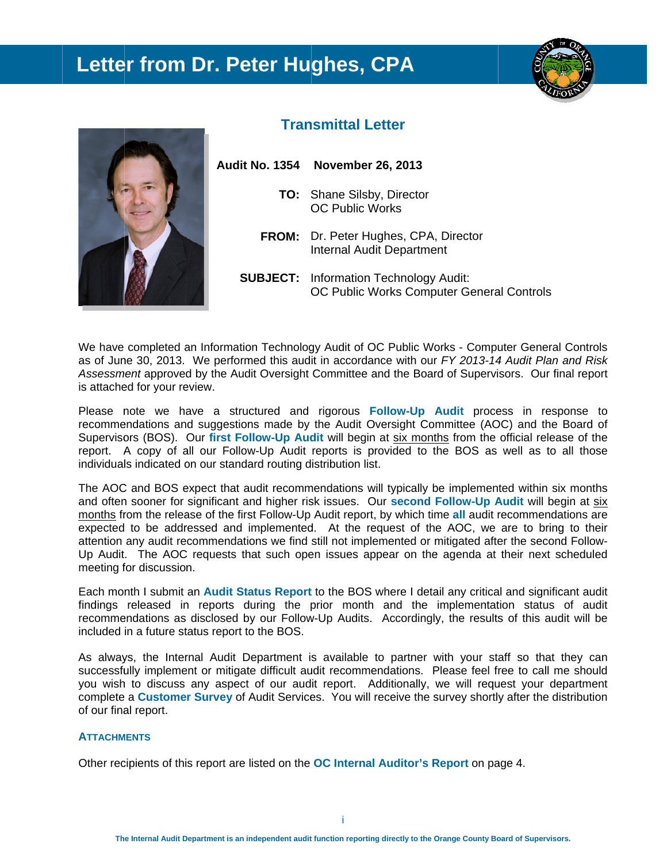# **Letter from Dr. Peter Hughes, CPA**





## **Transmittal Letter**

- **Audit No. 1354 November 26, 2013 TO:** Shane Silsby, Director O OC Public W Works FROM: Dr. Peter Hughes, CPA, Director Internal Audit Department
	- **SUBJECT:** Information Technology Audit: OC Public Works Computer General Controls

We have completed an Information Technology Audit of OC Public Works - Computer General Controls as of June 30, 2013. We performed this audit in accordance with our FY 2013-14 Audit Plan and Risk Assessment approved by the Audit Oversight Committee and the Board of Supervisors. Our final report is attached for your review.

Please note we have a structured and rigorous Follow-Up Audit process in response to recommendations and suggestions made by the Audit Oversight Committee (AOC) and the Board of Supervisors (BOS). Our first Follow-Up Audit will begin at six months from the official release of the report. A copy of all our Follow-Up Audit reports is provided to the BOS as well as to all those individuals indicated on our standard routing distribution list.

The AOC and BOS expect that audit recommendations will typically be implemented within six months and often sooner for significant and higher risk issues. Our second Follow-Up Audit will begin at six months from the release of the first Follow-Up Audit report, by which time all audit recommendations are expected to be addressed and implemented. At the request of the AOC, we are to bring to their attention any audit recommendations we find still not implemented or mitigated after the second Follow-Up Audit. The AOC requests that such open issues appear on the agenda at their next scheduled meeting for discussion.

Each month I submit an **Audit Status Report** to the BOS where I detail any critical and significant audit findings released in reports during the prior month and the implementation status of audit recommendations as disclosed by our Follow-Up Audits. Accordingly, the results of this audit will be included in a future status report to the BOS.

As always, the Internal Audit Department is available to partner with your staff so that they can successfully implement or mitigate difficult audit recommendations. Please feel free to call me should you wish to discuss any aspect of our audit report. Additionally, we will request your department complete a **Customer Survey** of Audit Services. You will receive the survey shortly after the distribution of our final report.

#### **ATTACHM MENTS**

Other recipients of this report are listed on the OC Internal Auditor's Report on page 4.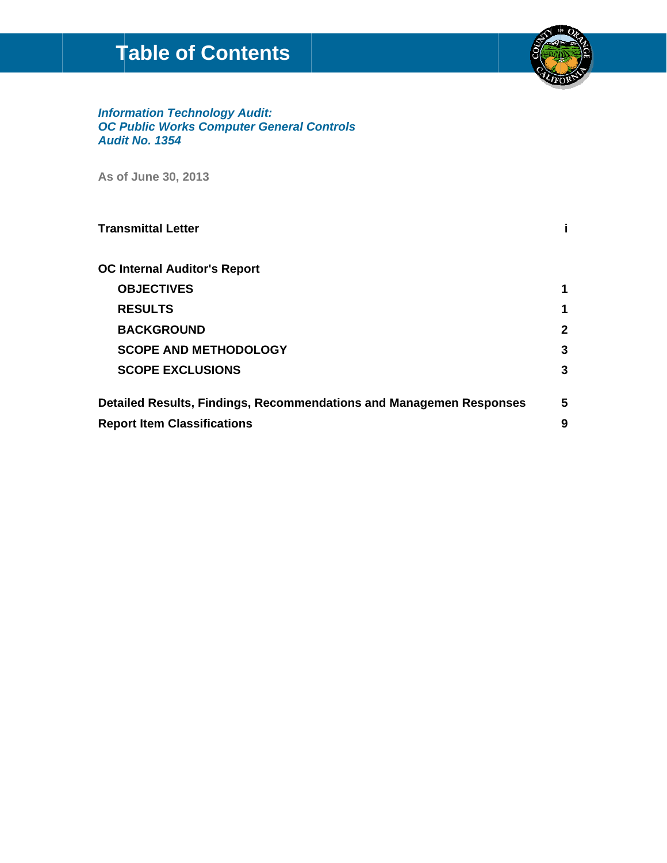# **Table of Contents**



# **Information Technology Audit:<br>OC Public Works Computer General Controls Audit No. 1354**

As of June 30, 2013

| <b>Transmittal Letter</b>                                           |   |
|---------------------------------------------------------------------|---|
| <b>OC Internal Auditor's Report</b>                                 |   |
| <b>OBJECTIVES</b>                                                   | 1 |
| <b>RESULTS</b>                                                      |   |
| <b>BACKGROUND</b>                                                   | 2 |
| <b>SCOPE AND METHODOLOGY</b>                                        | 3 |
| <b>SCOPE EXCLUSIONS</b>                                             | 3 |
| Detailed Results, Findings, Recommendations and Managemen Responses |   |
| <b>Report Item Classifications</b>                                  | 9 |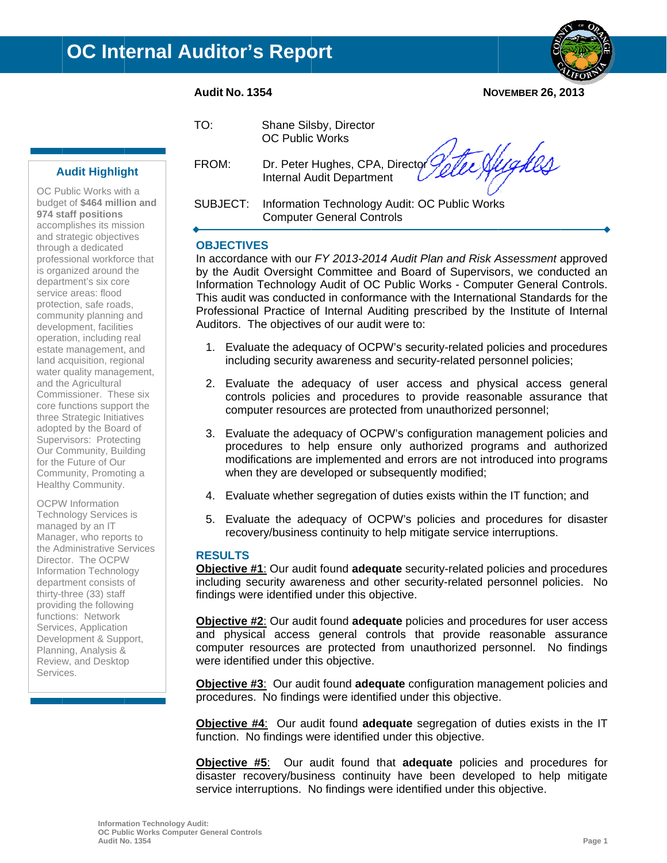



**NOVEMBER 26, 2013** 

#### $TO:$

Shane Silsby, Director **OC Public Works** 

FROM: Dr. Peter Hughes, CPA, Director **Internal Audit Department** 

Hugkes

SUBJECT: Information Technology Audit: OC Public Works **Computer General Controls** 

#### **OBJECTIVES**

In accordance with our FY 2013-2014 Audit Plan and Risk Assessment approved by the Audit Oversight Committee and Board of Supervisors, we conducted an Information Technology Audit of OC Public Works - Computer General Controls. This audit was conducted in conformance with the International Standards for the Professional Practice of Internal Auditing prescribed by the Institute of Internal Auditors. The objectives of our audit were to:

- 1. Evaluate the adequacy of OCPW's security-related policies and procedures including security awareness and security-related personnel policies;
- 2. Evaluate the adequacy of user access and physical access general controls policies and procedures to provide reasonable assurance that computer resources are protected from unauthorized personnel;
- 3. Evaluate the adequacy of OCPW's configuration management policies and procedures to help ensure only authorized programs and authorized modifications are implemented and errors are not introduced into programs when they are developed or subsequently modified;
- 4. Evaluate whether segregation of duties exists within the IT function; and
- 5. Evaluate the adequacy of OCPW's policies and procedures for disaster recovery/business continuity to help mitigate service interruptions.

#### **RESULTS**

Objective #1: Our audit found adequate security-related policies and procedures including security awareness and other security-related personnel policies. No findings were identified under this objective.

**Objective #2:** Our audit found **adequate** policies and procedures for user access and physical access general controls that provide reasonable assurance computer resources are protected from unauthorized personnel. No findings were identified under this objective.

Objective #3: Our audit found adequate configuration management policies and procedures. No findings were identified under this objective.

**Objective #4:** Our audit found adequate segregation of duties exists in the IT function. No findings were identified under this objective.

**Objective #5:** Our audit found that **adequate** policies and procedures for disaster recovery/business continuity have been developed to help mitigate service interruptions. No findings were identified under this objective.

## **Audit Highlight**

OC Public Works with a budget of \$464 million and 974 staff positions accomplishes its mission and strategic objectives through a dedicated professional workforce that is organized around the department's six core service areas: flood protection, safe roads, community planning and development, facilities operation, including real estate management, and land acquisition, regional water quality management, and the Agricultural Commissioner. These six core functions support the three Strategic Initiatives adopted by the Board of Supervisors: Protecting Our Community, Building for the Future of Our Community, Promoting a Healthy Community.

**OCPW** Information **Technology Services is** managed by an IT Manager, who reports to the Administrative Services Director. The OCPW Information Technology department consists of thirty-three (33) staff providing the following functions: Network Services, Application Development & Support, Planning, Analysis & Review, and Desktop Services.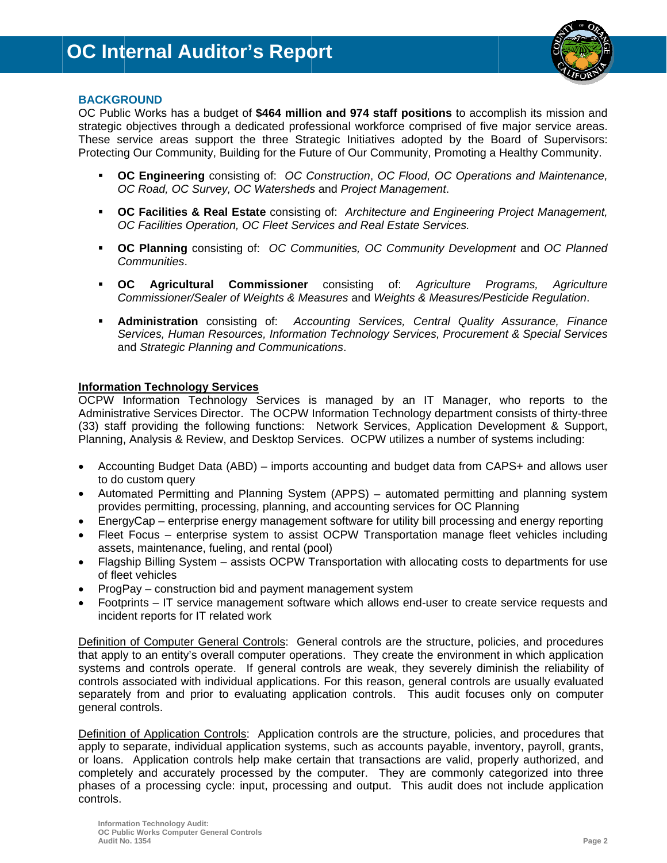

#### **BACKGROUND**

OC Public Works has a budget of \$464 million and 974 staff positions to accomplish its mission and strategic objectives through a dedicated professional workforce comprised of five major service areas. These service areas support the three Strategic Initiatives adopted by the Board of Supervisors: Protecting Our Community, Building for the Future of Our Community, Promoting a Healthy Community.

- **OC Engineering** consisting of: OC Construction, OC Flood, OC Operations and Maintenance, OC Road, OC Survey, OC Watersheds and Project Management.
- " OC Facilities & Real Estate consisting of: Architecture and Engineering Project Management. OC Facilities Operation, OC Fleet Services and Real Estate Services.
- OC Planning consisting of: OC Communities, OC Community Development and OC Planned Communities.
- $\overline{\phantom{a}}$  OC **Commissioner** consisting Agricultural  $of:$ Aariculture Programs. Agriculture Commissioner/Sealer of Weights & Measures and Weights & Measures/Pesticide Regulation.
- **Administration** consisting of: Accounting Services, Central Quality Assurance, Finance Services, Human Resources, Information Technology Services, Procurement & Special Services and Strategic Planning and Communications.

#### **Information Technology Services**

OCPW Information Technology Services is managed by an IT Manager, who reports to the Administrative Services Director. The OCPW Information Technology department consists of thirty-three (33) staff providing the following functions: Network Services, Application Development & Support, Planning, Analysis & Review, and Desktop Services. OCPW utilizes a number of systems including:

- Accounting Budget Data (ABD) imports accounting and budget data from CAPS+ and allows user to do custom query
- Automated Permitting and Planning System (APPS) automated permitting and planning system provides permitting, processing, planning, and accounting services for OC Planning
- EnergyCap enterprise energy management software for utility bill processing and energy reporting
- Fleet Focus enterprise system to assist OCPW Transportation manage fleet vehicles including assets, maintenance, fueling, and rental (pool)
- Flagship Billing System assists OCPW Transportation with allocating costs to departments for use of fleet vehicles
- ProgPay construction bid and payment management system
- Footprints IT service management software which allows end-user to create service requests and incident reports for IT related work

Definition of Computer General Controls: General controls are the structure, policies, and procedures that apply to an entity's overall computer operations. They create the environment in which application systems and controls operate. If general controls are weak, they severely diminish the reliability of controls associated with individual applications. For this reason, general controls are usually evaluated separately from and prior to evaluating application controls. This audit focuses only on computer general controls.

Definition of Application Controls: Application controls are the structure, policies, and procedures that apply to separate, individual application systems, such as accounts payable, inventory, payroll, grants, or loans. Application controls help make certain that transactions are valid, properly authorized, and completely and accurately processed by the computer. They are commonly categorized into three phases of a processing cycle: input, processing and output. This audit does not include application controls.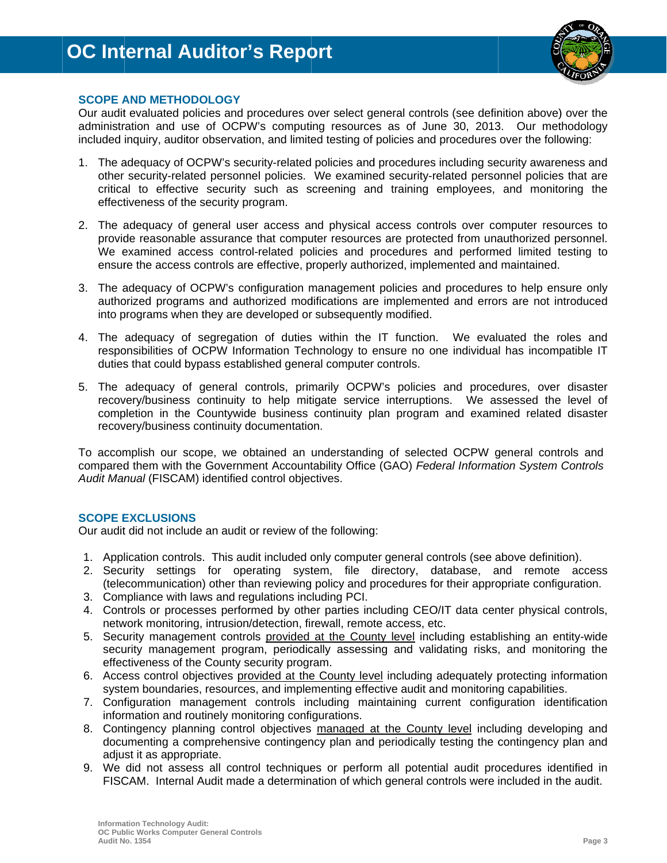

#### **SCOPE AND METHODOLOGY**

Our audit evaluated policies and procedures over select general controls (see definition above) over the administration and use of OCPW's computing resources as of June 30, 2013. Our methodology included inquiry, auditor observation, and limited testing of policies and procedures over the following:

- 1. The adequacy of OCPW's security-related policies and procedures including security awareness and other security-related personnel policies. We examined security-related personnel policies that are critical to effective security such as screening and training employees, and monitoring the effectiveness of the security program.
- 2. The adequacy of general user access and physical access controls over computer resources to provide reasonable assurance that computer resources are protected from unauthorized personnel. We examined access control-related policies and procedures and performed limited testing to ensure the access controls are effective, properly authorized, implemented and maintained.
- 3. The adequacy of OCPW's configuration management policies and procedures to help ensure only authorized programs and authorized modifications are implemented and errors are not introduced into programs when they are developed or subsequently modified.
- 4. The adequacy of segregation of duties within the IT function. We evaluated the roles and responsibilities of OCPW Information Technology to ensure no one individual has incompatible IT duties that could bypass established general computer controls.
- 5. The adequacy of general controls, primarily OCPW's policies and procedures, over disaster recovery/business continuity to help mitigate service interruptions. We assessed the level of completion in the Countywide business continuity plan program and examined related disaster recovery/business continuity documentation.

To accomplish our scope, we obtained an understanding of selected OCPW general controls and compared them with the Government Accountability Office (GAO) Federal Information System Controls Audit Manual (FISCAM) identified control objectives.

#### **SCOPE EXCLUSIONS**

Our audit did not include an audit or review of the following:

- 1. Application controls. This audit included only computer general controls (see above definition).
- 2. Security settings for operating system, file directory, database, and remote access (telecommunication) other than reviewing policy and procedures for their appropriate configuration.
- 3. Compliance with laws and regulations including PCI.
- 4. Controls or processes performed by other parties including CEO/IT data center physical controls, network monitoring, intrusion/detection, firewall, remote access, etc.
- 5. Security management controls provided at the County level including establishing an entity-wide security management program, periodically assessing and validating risks, and monitoring the effectiveness of the County security program.
- 6. Access control objectives provided at the County level including adequately protecting information system boundaries, resources, and implementing effective audit and monitoring capabilities.
- 7. Configuration management controls including maintaining current configuration identification information and routinely monitoring configurations.
- 8. Contingency planning control objectives managed at the County level including developing and documenting a comprehensive contingency plan and periodically testing the contingency plan and adjust it as appropriate.
- 9. We did not assess all control techniques or perform all potential audit procedures identified in FISCAM. Internal Audit made a determination of which general controls were included in the audit.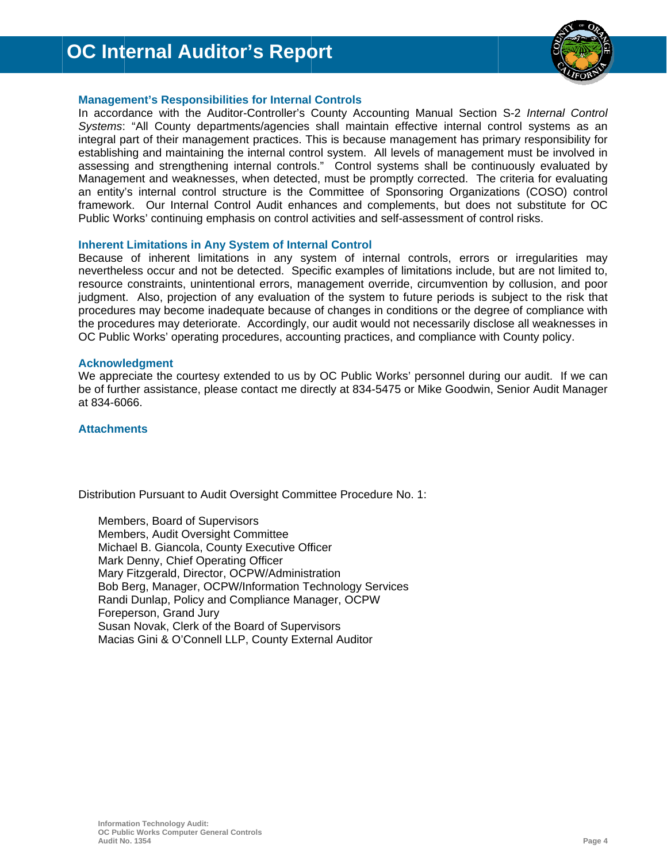

#### **Management's Responsibilities for Internal Controls**

In accordance with the Auditor-Controller's County Accounting Manual Section S-2 Internal Control Systems: "All County departments/agencies shall maintain effective internal control systems as an integral part of their management practices. This is because management has primary responsibility for establishing and maintaining the internal control system. All levels of management must be involved in assessing and strengthening internal controls." Control systems shall be continuously evaluated by Management and weaknesses, when detected, must be promptly corrected. The criteria for evaluating an entity's internal control structure is the Committee of Sponsoring Organizations (COSO) control framework. Our Internal Control Audit enhances and complements, but does not substitute for OC Public Works' continuing emphasis on control activities and self-assessment of control risks.

#### **Inherent Limitations in Any System of Internal Control**

Because of inherent limitations in any system of internal controls, errors or irregularities may nevertheless occur and not be detected. Specific examples of limitations include, but are not limited to, resource constraints, unintentional errors, management override, circumvention by collusion, and poor judgment. Also, projection of any evaluation of the system to future periods is subject to the risk that procedures may become inadequate because of changes in conditions or the degree of compliance with the procedures may deteriorate. Accordingly, our audit would not necessarily disclose all weaknesses in OC Public Works' operating procedures, accounting practices, and compliance with County policy.

#### **Acknowledgment**

We appreciate the courtesy extended to us by OC Public Works' personnel during our audit. If we can be of further assistance, please contact me directly at 834-5475 or Mike Goodwin, Senior Audit Manager at 834-6066.

#### **Attachments**

Distribution Pursuant to Audit Oversight Committee Procedure No. 1:

Members, Board of Supervisors Members, Audit Oversight Committee Michael B. Giancola, County Executive Officer Mark Denny, Chief Operating Officer Mary Fitzgerald, Director, OCPW/Administration Bob Berg, Manager, OCPW/Information Technology Services Randi Dunlap, Policy and Compliance Manager, OCPW Foreperson, Grand Jury Susan Novak, Clerk of the Board of Supervisors Macias Gini & O'Connell LLP, County External Auditor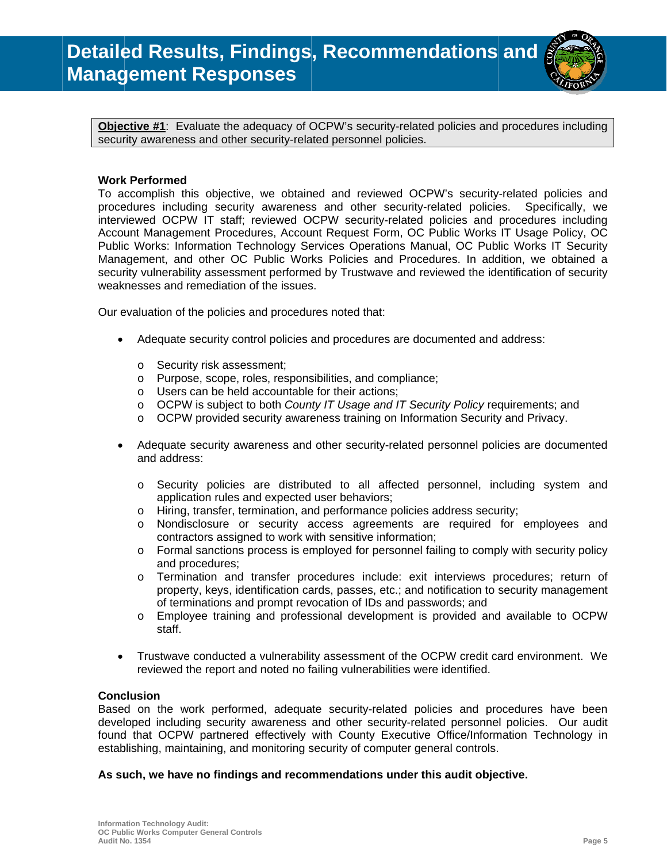

Objective #1: Evaluate the adequacy of OCPW's security-related policies and procedures including security awareness and other security-related personnel policies.

#### **Work Performed**

To accomplish this objective, we obtained and reviewed OCPW's security-related policies and procedures including security awareness and other security-related policies. Specifically, we interviewed OCPW IT staff; reviewed OCPW security-related policies and procedures including Account Management Procedures, Account Request Form, OC Public Works IT Usage Policy, OC Public Works: Information Technology Services Operations Manual, OC Public Works IT Security Management, and other OC Public Works Policies and Procedures. In addition, we obtained a security vulnerability assessment performed by Trustwave and reviewed the identification of security weaknesses and remediation of the issues.

Our evaluation of the policies and procedures noted that:

- $\bullet$ Adequate security control policies and procedures are documented and address:
	- o Security risk assessment;
	- o Purpose, scope, roles, responsibilities, and compliance;
	- o Users can be held accountable for their actions:
	- o OCPW is subject to both County IT Usage and IT Security Policy requirements; and
	- $\circ$  OCPW provided security awareness training on Information Security and Privacy.
- Adequate security awareness and other security-related personnel policies are documented  $\bullet$ and address:
	- o Security policies are distributed to all affected personnel, including system and application rules and expected user behaviors;
	- Hiring, transfer, termination, and performance policies address security;  $\circ$
	- $\circ$ Nondisclosure or security access agreements are required for employees and contractors assigned to work with sensitive information;
	- $\circ$ Formal sanctions process is employed for personnel failing to comply with security policy and procedures:
	- Termination and transfer procedures include: exit interviews procedures; return of  $\circ$ property, keys, identification cards, passes, etc.; and notification to security management of terminations and prompt revocation of IDs and passwords; and
	- Employee training and professional development is provided and available to OCPW  $\circ$ staff.
- Trustwave conducted a vulnerability assessment of the OCPW credit card environment. We  $\bullet$ reviewed the report and noted no failing vulnerabilities were identified.

#### **Conclusion**

Based on the work performed, adequate security-related policies and procedures have been developed including security awareness and other security-related personnel policies. Our audit found that OCPW partnered effectively with County Executive Office/Information Technology in establishing, maintaining, and monitoring security of computer general controls.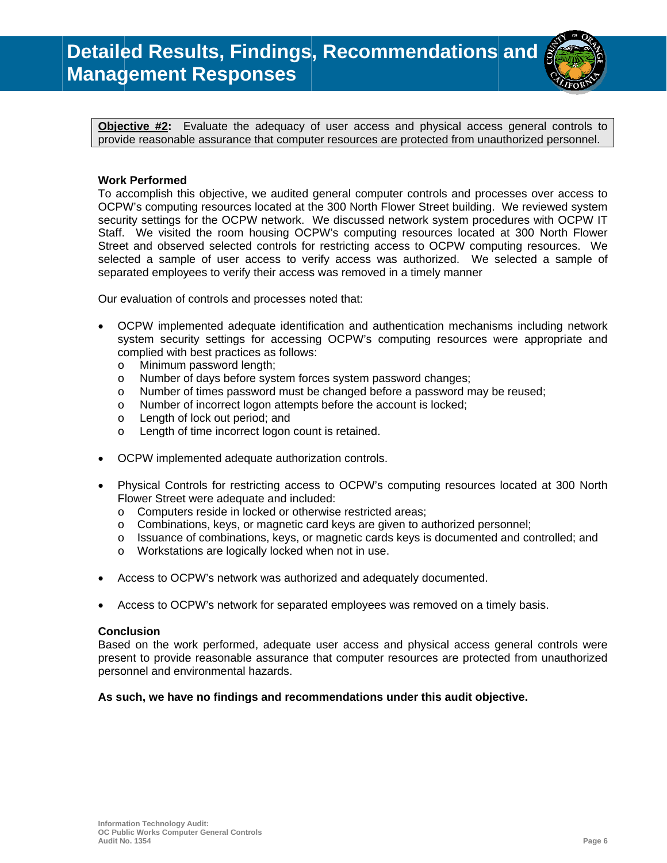

Objective #2: Evaluate the adequacy of user access and physical access general controls to provide reasonable assurance that computer resources are protected from unauthorized personnel.

#### **Work Performed**

To accomplish this objective, we audited general computer controls and processes over access to OCPW's computing resources located at the 300 North Flower Street building. We reviewed system security settings for the OCPW network. We discussed network system procedures with OCPW IT Staff. We visited the room housing OCPW's computing resources located at 300 North Flower Street and observed selected controls for restricting access to OCPW computing resources. We selected a sample of user access to verify access was authorized. We selected a sample of separated employees to verify their access was removed in a timely manner

Our evaluation of controls and processes noted that:

- OCPW implemented adequate identification and authentication mechanisms including network system security settings for accessing OCPW's computing resources were appropriate and complied with best practices as follows:
	- Minimum password length;  $\circ$
	- Number of days before system forces system password changes;  $\circ$
	- Number of times password must be changed before a password may be reused;  $\circ$
	- Number of incorrect logon attempts before the account is locked;  $\Omega$
	- Length of lock out period; and  $\circ$
	- Length of time incorrect logon count is retained.  $\circ$
- OCPW implemented adequate authorization controls.
- Physical Controls for restricting access to OCPW's computing resources located at 300 North Flower Street were adequate and included:
	- o Computers reside in locked or otherwise restricted areas:
	- o Combinations, keys, or magnetic card keys are given to authorized personnel;
	- $\circ$  Issuance of combinations, keys, or magnetic cards keys is documented and controlled; and
	- o Workstations are logically locked when not in use.
- Access to OCPW's network was authorized and adequately documented.
- Access to OCPW's network for separated employees was removed on a timely basis.

#### **Conclusion**

Based on the work performed, adequate user access and physical access general controls were present to provide reasonable assurance that computer resources are protected from unauthorized personnel and environmental hazards.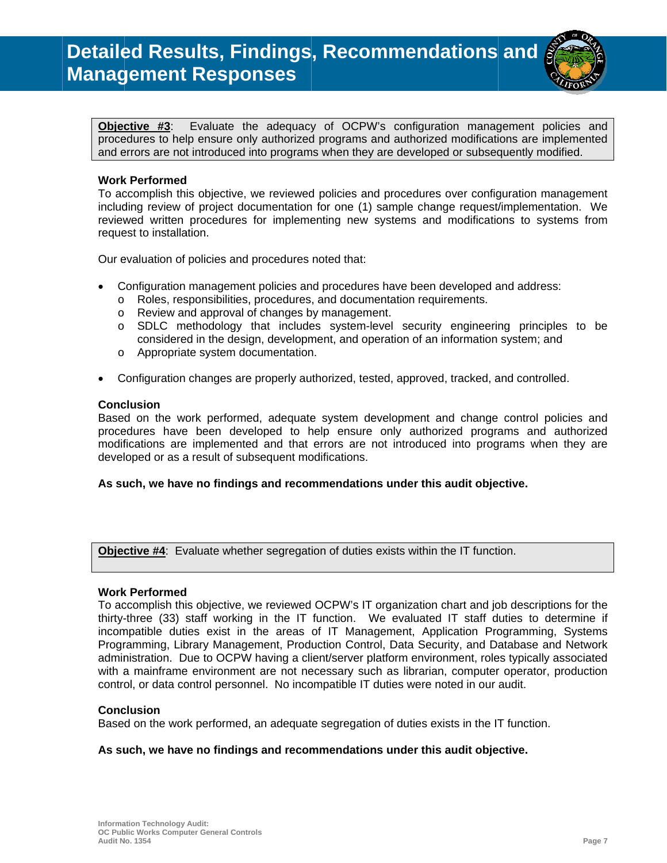

Evaluate the adequacy of OCPW's configuration management policies and Objective #3: procedures to help ensure only authorized programs and authorized modifications are implemented and errors are not introduced into programs when they are developed or subsequently modified.

#### **Work Performed**

To accomplish this objective, we reviewed policies and procedures over configuration management including review of project documentation for one (1) sample change request/implementation. We reviewed written procedures for implementing new systems and modifications to systems from request to installation.

Our evaluation of policies and procedures noted that:

- Configuration management policies and procedures have been developed and address:
	- o Roles, responsibilities, procedures, and documentation requirements.
		- o Review and approval of changes by management.
	- o SDLC methodology that includes system-level security engineering principles to be considered in the design, development, and operation of an information system; and
	- o Appropriate system documentation.
- Configuration changes are properly authorized, tested, approved, tracked, and controlled.  $\bullet$

#### **Conclusion**

Based on the work performed, adequate system development and change control policies and procedures have been developed to help ensure only authorized programs and authorized modifications are implemented and that errors are not introduced into programs when they are developed or as a result of subsequent modifications.

#### As such, we have no findings and recommendations under this audit objective.

Objective #4: Evaluate whether segregation of duties exists within the IT function.

#### **Work Performed**

To accomplish this objective, we reviewed OCPW's IT organization chart and job descriptions for the thirty-three (33) staff working in the IT function. We evaluated IT staff duties to determine if incompatible duties exist in the areas of IT Management, Application Programming, Systems Programming, Library Management, Production Control, Data Security, and Database and Network administration. Due to OCPW having a client/server platform environment, roles typically associated with a mainframe environment are not necessary such as librarian, computer operator, production control, or data control personnel. No incompatible IT duties were noted in our audit.

#### **Conclusion**

Based on the work performed, an adequate segregation of duties exists in the IT function.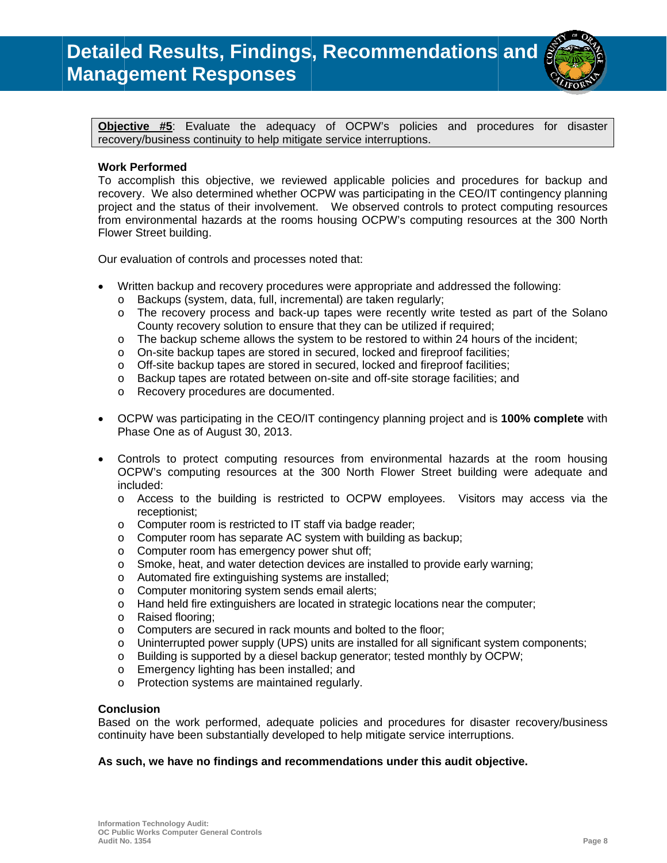

Objective #5: Evaluate the adequacy of OCPW's policies and procedures for disaster recovery/business continuity to help mitigate service interruptions.

#### **Work Performed**

To accomplish this objective, we reviewed applicable policies and procedures for backup and recovery. We also determined whether OCPW was participating in the CEO/IT contingency planning project and the status of their involvement. We observed controls to protect computing resources from environmental hazards at the rooms housing OCPW's computing resources at the 300 North Flower Street building.

Our evaluation of controls and processes noted that:

- Written backup and recovery procedures were appropriate and addressed the following:
	- o Backups (system, data, full, incremental) are taken regularly;
	- o The recovery process and back-up tapes were recently write tested as part of the Solano County recovery solution to ensure that they can be utilized if required;
	- o The backup scheme allows the system to be restored to within 24 hours of the incident;
	- $\circ$  On-site backup tapes are stored in secured, locked and fireproof facilities;
	- $\circ$  Off-site backup tapes are stored in secured, locked and fireproof facilities;
	- o Backup tapes are rotated between on-site and off-site storage facilities; and
	- o Recovery procedures are documented.
- OCPW was participating in the CEO/IT contingency planning project and is 100% complete with  $\bullet$ Phase One as of August 30, 2013.
- Controls to protect computing resources from environmental hazards at the room housing OCPW's computing resources at the 300 North Flower Street building were adequate and included:
	- o Access to the building is restricted to OCPW employees. Visitors may access via the receptionist:
	- o Computer room is restricted to IT staff via badge reader;
	- $\circ$  Computer room has separate AC system with building as backup;
	- o Computer room has emergency power shut off;
	- $\circ$  Smoke, heat, and water detection devices are installed to provide early warning;
	- o Automated fire extinguishing systems are installed;
	- $\circ$ Computer monitoring system sends email alerts;
	- $\circ$ Hand held fire extinguishers are located in strategic locations near the computer;
	- o Raised flooring;
	- o Computers are secured in rack mounts and bolted to the floor;
	- o Uninterrupted power supply (UPS) units are installed for all significant system components;
	- $\circ$  Building is supported by a diesel backup generator; tested monthly by OCPW;
	- o Emergency lighting has been installed; and
	- o Protection systems are maintained regularly.

#### **Conclusion**

Based on the work performed, adequate policies and procedures for disaster recovery/business continuity have been substantially developed to help mitigate service interruptions.